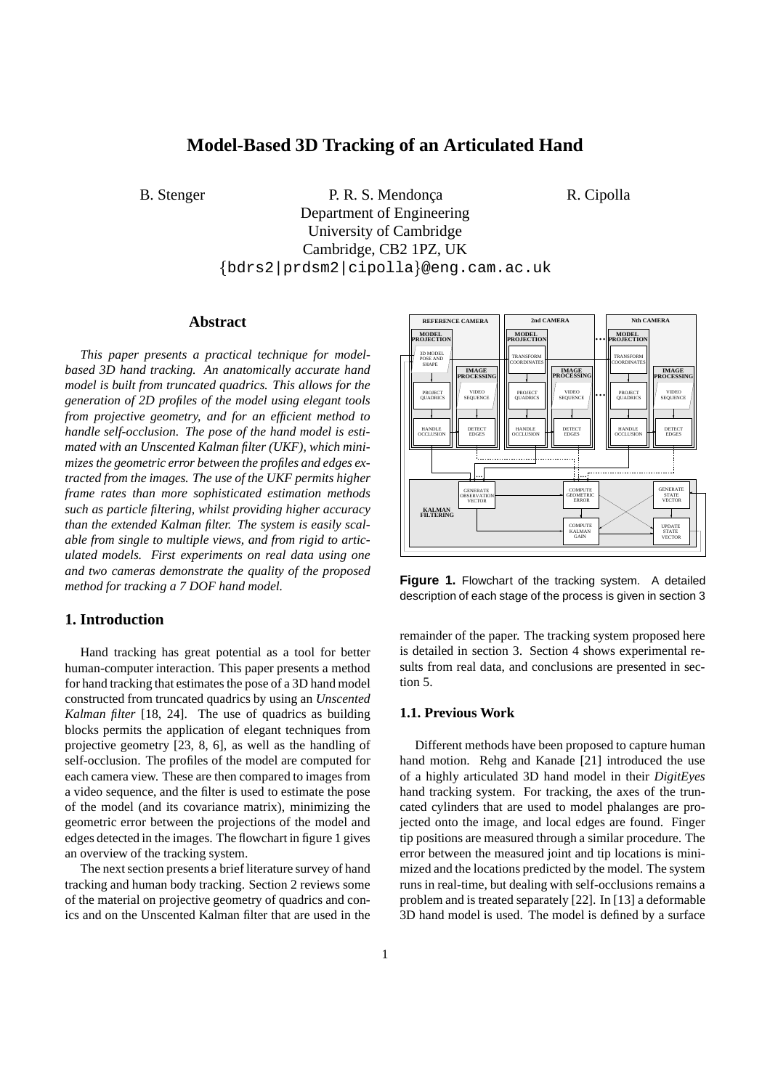# **Model-Based 3D Tracking of an Articulated Hand**

B. Stenger P. R. S. Mendonca R. Cipolla Department of Engineering University of Cambridge Cambridge, CB2 1PZ, UK  $\{bdrs2\,|\,\mathrm{prdsm2}\,|\,\mathrm{cipolla}\}$ @eng.cam.ac.uk

# **Abstract**

*This paper presents a practical technique for modelbased 3D hand tracking. An anatomically accurate hand model is built from truncated quadrics. This allows for the generation of 2D profiles of the model using elegant tools from projective geometry, and for an efficient method to handle self-occlusion. The pose of the hand model is estimated with an Unscented Kalman filter (UKF), which minimizes the geometric error between the profiles and edges extracted from the images. The use of the UKF permits higher frame rates than more sophisticated estimation methods such as particle filtering, whilst providing higher accuracy than the extended Kalman filter. The system is easily scalable from single to multiple views, and from rigid to articulated models. First experiments on real data using one and two cameras demonstrate the quality of the proposed method for tracking a 7 DOF hand model.*

# **1. Introduction**

Hand tracking has great potential as a tool for better human-computer interaction. This paper presents a method for hand tracking that estimates the pose of a 3D hand model constructed from truncated quadrics by using an *Unscented Kalman filter* [18, 24]. The use of quadrics as building blocks permits the application of elegant techniques from projective geometry [23, 8, 6], as well as the handling of self-occlusion. The profiles of the model are computed for each camera view. These are then compared to images from a video sequence, and the filter is used to estimate the pose of the model (and its covariance matrix), minimizing the geometric error between the projections of the model and edges detected in the images. The flowchart in figure 1 gives an overview of the tracking system.

The next section presents a brief literature survey of hand tracking and human body tracking. Section 2 reviews some of the material on projective geometry of quadrics and conics and on the Unscented Kalman filter that are used in the



**Figure 1.** Flowchart of the tracking system. A detailed description of each stage of the process is given in section 3

remainder of the paper. The tracking system proposed here is detailed in section 3. Section 4 shows experimental results from real data, and conclusions are presented in section 5.

#### **1.1. Previous Work**

Different methods have been proposed to capture human hand motion. Rehg and Kanade [21] introduced the use of a highly articulated 3D hand model in their *DigitEyes* hand tracking system. For tracking, the axes of the truncated cylinders that are used to model phalanges are projected onto the image, and local edges are found. Finger tip positions are measured through a similar procedure. The error between the measured joint and tip locations is minimized and the locations predicted by the model. The system runs in real-time, but dealing with self-occlusions remains a problem and is treated separately [22]. In [13] a deformable 3D hand model is used. The model is defined by a surface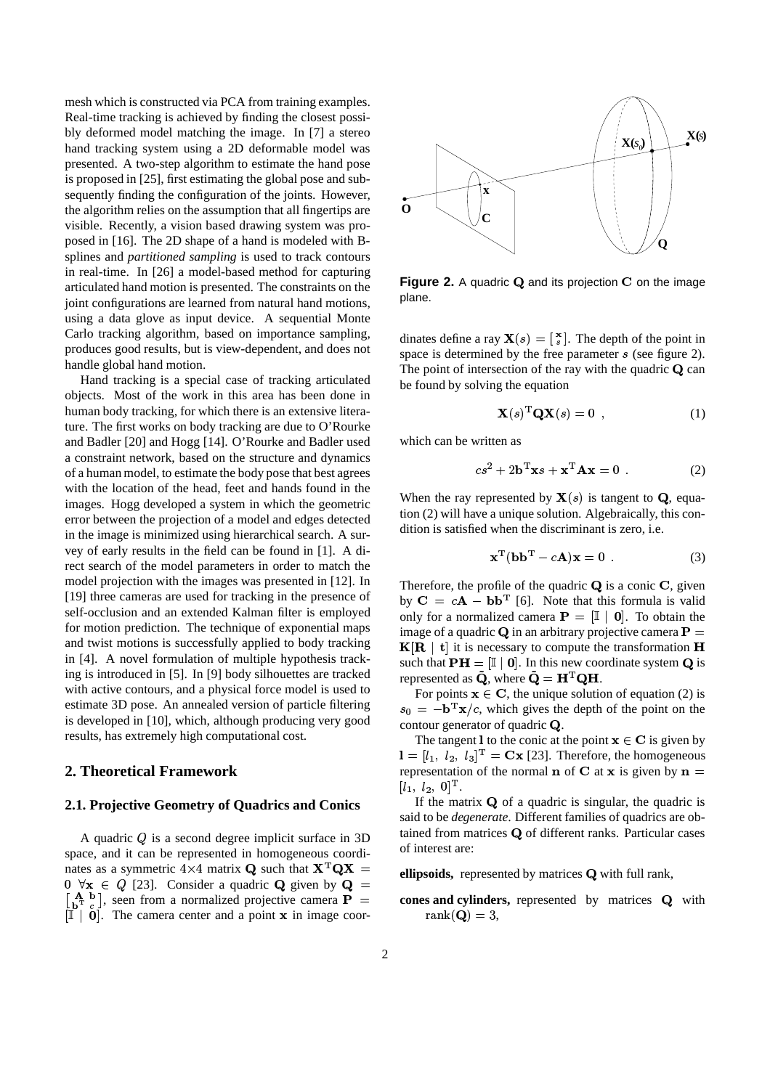mesh which is constructed via PCA from training examples. Real-time tracking is achieved by finding the closest possibly deformed model matching the image. In [7] a stereo hand tracking system using a 2D deformable model was presented. A two-step algorithm to estimate the hand pose is proposed in [25], first estimating the global pose and subsequently finding the configuration of the joints. However, the algorithm relies on the assumption that all fingertips are visible. Recently, a vision based drawing system was proposed in [16]. The 2D shape of a hand is modeled with Bsplines and *partitioned sampling* is used to track contours in real-time. In [26] a model-based method for capturing articulated hand motion is presented. The constraints on the joint configurations are learned from natural hand motions, using a data glove as input device. A sequential Monte Carlo tracking algorithm, based on importance sampling, produces good results, but is view-dependent, and does not handle global hand motion.

Hand tracking is a special case of tracking articulated objects. Most of the work in this area has been done in human body tracking, for which there is an extensive literature. The first works on body tracking are due to O'Rourke and Badler [20] and Hogg [14]. O'Rourke and Badler used a constraint network, based on the structure and dynamics of a human model, to estimate the body pose that best agrees with the location of the head, feet and hands found in the images. Hogg developed a system in which the geometric error between the projection of a model and edges detected in the image is minimized using hierarchical search. A survey of early results in the field can be found in [1]. A direct search of the model parameters in order to match the model projection with the images was presented in [12]. In [19] three cameras are used for tracking in the presence of self-occlusion and an extended Kalman filter is employed for motion prediction. The technique of exponential maps and twist motions is successfully applied to body tracking in [4]. A novel formulation of multiple hypothesis tracking is introduced in [5]. In [9] body silhouettes are tracked with active contours, and a physical force model is used to estimate 3D pose. An annealed version of particle filtering is developed in [10], which, although producing very good results, has extremely high computational cost.

### **2. Theoretical Framework**

#### **2.1. Projective Geometry of Quadrics and Conics**

A quadric  $Q$  is a second degree implicit surface in 3D space, and it can be represented in homogeneous coordinates as a symmetric  $4\times 4$  matrix **Q** such that  $X^TQ$ .  $[0 \ \forall x \in Q]$  [23]. Consider a quadric **Q** given by **Q** =  $\begin{bmatrix} \mathbf{A} & \mathbf{b} \\ \mathbf{b} & \mathbf{T} \end{bmatrix}$ , seen from a normalized projective camera  $\mathbf{P} = \mathbf{const}$  and  $\begin{bmatrix} \mathbb{I} & \mathbf{0} \end{bmatrix}$ . The camera center and a point **x** in image coor-



**Figure 2.** A quadric **Q** and its projection **C** on the image plane.

dinates define a ray  $\mathbf{X}(s) = \begin{bmatrix} \mathbf{x} \\ s \end{bmatrix}$ . The depth of the point in space is determined by the free parameter  $s$  (see figure 2). The point of intersection of the ray with the quadric  $Q$  can be found by solving the equation

$$
\mathbf{X}(s)^{\mathrm{T}} \mathbf{Q} \mathbf{X}(s) = 0 \tag{1}
$$

which can be written as

$$
cs2 + 2\mathbf{b}^{\mathrm{T}}\mathbf{x}s + \mathbf{x}^{\mathrm{T}}\mathbf{A}\mathbf{x} = 0
$$
 (2)

When the ray represented by  $\mathbf{X}(s)$  is tangent to **Q**, equation (2) will have a unique solution. Algebraically, this condition is satisfied when the discriminant is zero, i.e.

$$
\mathbf{x}^{\mathrm{T}}(\mathbf{b}\mathbf{b}^{\mathrm{T}} - c\mathbf{A})\mathbf{x} = 0
$$
 (3)

Therefore, the profile of the quadric  $Q$  is a conic  $C$ , given by  $C = cA - bb<sup>T</sup>$  [6]. Note that this formula is valid only for a normalized camera  $\mathbf{P} = [I \mid 0]$ . To obtain the image of a quadric **Q** in an arbitrary projective camera  $P =$  $K[R | t]$  it is necessary to compute the transformation H such that  $\mathbf{PH} = [\mathbb{I} \mid \mathbf{0}]$ . In this new coordinate system **Q** is represented as Q, where  $\mathbf{Q} = \mathbf{H}^{\mathrm{T}} \mathbf{Q} \mathbf{H}$ .

For points  $x \in C$ , the unique solution of equation (2) is  $s_0 = -\mathbf{b}^T \mathbf{x}/c$ , which gives the depth of the point on the contour generator of quadric  $Q$ .

The tangent 1 to the conic at the point  ${\bf x} \in {\bf C}$  is given by  $\mathbf{I} = [l_1, l_2, l_3]^{\mathrm{T}} = \mathbf{C}\mathbf{x}$  [23]. Therefore, the homogeneous representation of the normal **n** of **C** at **x** is given by  $\mathbf{n} =$  $[l_1, l_2, 0]^{\rm T}.$ 

If the matrix  $\bf{Q}$  of a quadric is singular, the quadric is said to be *degenerate*. Different families of quadrics are obtained from matrices  $Q$  of different ranks. Particular cases of interest are:

 $\mathbf{A}$  = **ellipsoids**, represented by matrices **Q** with full rank,

**cones** and **cylinders**, represented by matrices **Q** with  $\mathrm{rank}(\mathbf{Q})=3,$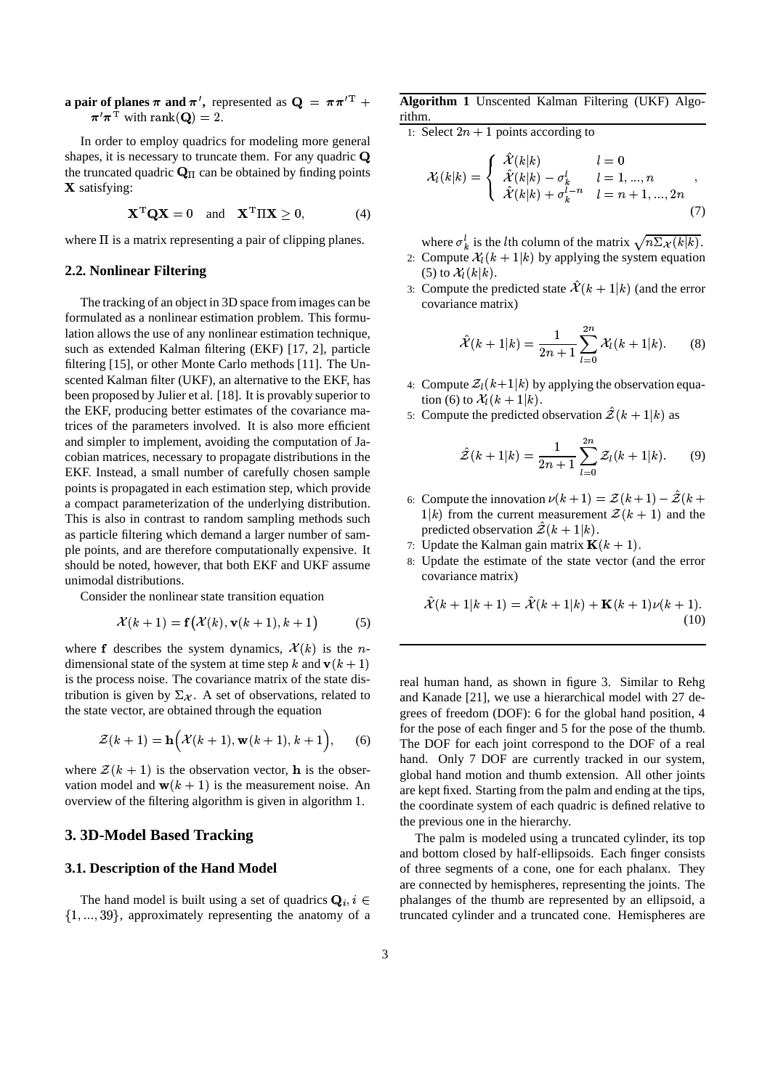**a** pair of planes  $\pi$  and  $\pi'$ , represented as  $Q = \pi \pi'^T +$  Alg  $\boldsymbol{\pi}'\boldsymbol{\pi}^{\mathrm{T}}$  with  $\mathrm{rank}(\mathbf{Q})=2.$ 

In order to employ quadrics for modeling more general shapes, it is necessary to truncate them. For any quadric Q the truncated quadric  $\mathbf{Q}_{\Pi}$  can be obtained by finding points X satisfying:

$$
\mathbf{X}^{\mathrm{T}} \mathbf{Q} \mathbf{X} = 0 \quad \text{and} \quad \mathbf{X}^{\mathrm{T}} \Pi \mathbf{X} \ge 0, \tag{4}
$$

where  $\Pi$  is a matrix representing a pair of clipping planes.

#### **2.2. Nonlinear Filtering**

The tracking of an object in 3D space from images can be formulated as a nonlinear estimation problem. This formulation allows the use of any nonlinear estimation technique, such as extended Kalman filtering (EKF) [17, 2], particle filtering [15], or other Monte Carlo methods [11]. The Unscented Kalman filter (UKF), an alternative to the EKF, has been proposed by Julier et al. [18]. It is provably superior to the EKF, producing better estimates of the covariance matrices of the parameters involved. It is also more efficient and simpler to implement, avoiding the computation of Jacobian matrices, necessary to propagate distributions in the EKF. Instead, a small number of carefully chosen sample points is propagated in each estimation step, which provide a compact parameterization of the underlying distribution. This is also in contrast to random sampling methods such as particle filtering which demand a larger number of sample points, and are therefore computationally expensive. It should be noted, however, that both EKF and UKF assume unimodal distributions.

Consider the nonlinear state transition equation

$$
\mathcal{X}(k+1) = \mathbf{f}(\mathcal{X}(k), \mathbf{v}(k+1), k+1) \tag{5}
$$

where **f** describes the system dynamics,  $\mathcal{X}(k)$  is the *n*dimensional state of the system at time step k and  $\mathbf{v}(k+1)$ is the process noise. The covariance matrix of the state distribution is given by  $\Sigma_{\mathcal{X}}$ . A set of observations, related to the state vector, are obtained through the equation

$$
\mathcal{Z}(k+1) = \mathbf{h}\Big(\mathcal{X}(k+1), \mathbf{w}(k+1), k+1\Big), \qquad (6)
$$

where  $\mathcal{Z}(k + 1)$  is the observation vector, **h** is the observation model and  $\mathbf{w}(k+1)$  is the measurement noise. An overview of the filtering algorithm is given in algorithm 1.

#### **3. 3D-Model Based Tracking**

#### **3.1. Description of the Hand Model**

The hand model is built using a set of quadrics  $\mathbf{Q}_i, i \in$  $\{1, \ldots, 39\}$ , approximately representing the anatomy of a

 $T +$  **Algorithm 1** Unscented Kalman Filtering (UKF) Algorithm.

1: Select  $2n + 1$  points according to

$$
\mathcal{X}_l(k|k) = \begin{cases} \hat{\mathcal{X}}(k|k) & l = 0 \\ \hat{\mathcal{X}}(k|k) - \sigma_k^l & l = 1, ..., n \\ \hat{\mathcal{X}}(k|k) + \sigma_k^{l-n} & l = n+1, ..., 2n \end{cases}
$$
\n(7)

where  $\sigma_k^l$  is the *l*th column of the matrix  $\sqrt{n} \Sigma_{\mathcal{X}}(k|k)$ .

- 2: Compute  $\mathcal{X}_l(k+1|k)$  by applying the system equation (5) to  $\mathcal{X}_l(k|k)$ .
- 3: Compute the predicted state  $\mathcal{X}(k+1|k)$  (and the error covariance matrix)

$$
\hat{\mathcal{X}}(k+1|k) = \frac{1}{2n+1} \sum_{l=0}^{2n} \mathcal{X}_l(k+1|k). \tag{8}
$$

- 4: Compute  $\mathcal{Z}_l(k+1|k)$  by applying the observation equation (6) to  $\mathcal{X}_l(k+1|k)$ .
- 5: Compute the predicted observation  $\mathcal{Z}(k+1|k)$  as

$$
\hat{\mathcal{Z}}(k+1|k) = \frac{1}{2n+1} \sum_{l=0}^{2n} \mathcal{Z}_l(k+1|k). \tag{9}
$$

- 6: Compute the innovation  $\nu(k+1) = \mathcal{Z}(k+1) \mathcal{Z}(k+1)$  $1|k)$  from the current measurement  $\mathcal{Z}(k+1)$  and the predicted observation  $\mathcal{Z}(k+1|k)$ .
- 7: Update the Kalman gain matrix  $\mathbf{K}(k+1)$ .
- 8: Update the estimate of the state vector (and the error covariance matrix)

$$
\hat{\mathcal{X}}(k+1|k+1) = \hat{\mathcal{X}}(k+1|k) + \mathbf{K}(k+1)\nu(k+1).
$$
\n(10)

real human hand, as shown in figure 3. Similar to Rehg and Kanade [21], we use a hierarchical model with 27 degrees of freedom (DOF): 6 for the global hand position, 4 for the pose of each finger and 5 for the pose of the thumb. The DOF for each joint correspond to the DOF of a real hand. Only 7 DOF are currently tracked in our system, global hand motion and thumb extension. All other joints are kept fixed. Starting from the palm and ending at the tips, the coordinate system of each quadric is defined relative to the previous one in the hierarchy.

The palm is modeled using a truncated cylinder, its top and bottom closed by half-ellipsoids. Each finger consists of three segments of a cone, one for each phalanx. They are connected by hemispheres, representing the joints. The phalanges of the thumb are represented by an ellipsoid, a truncated cylinder and a truncated cone. Hemispheres are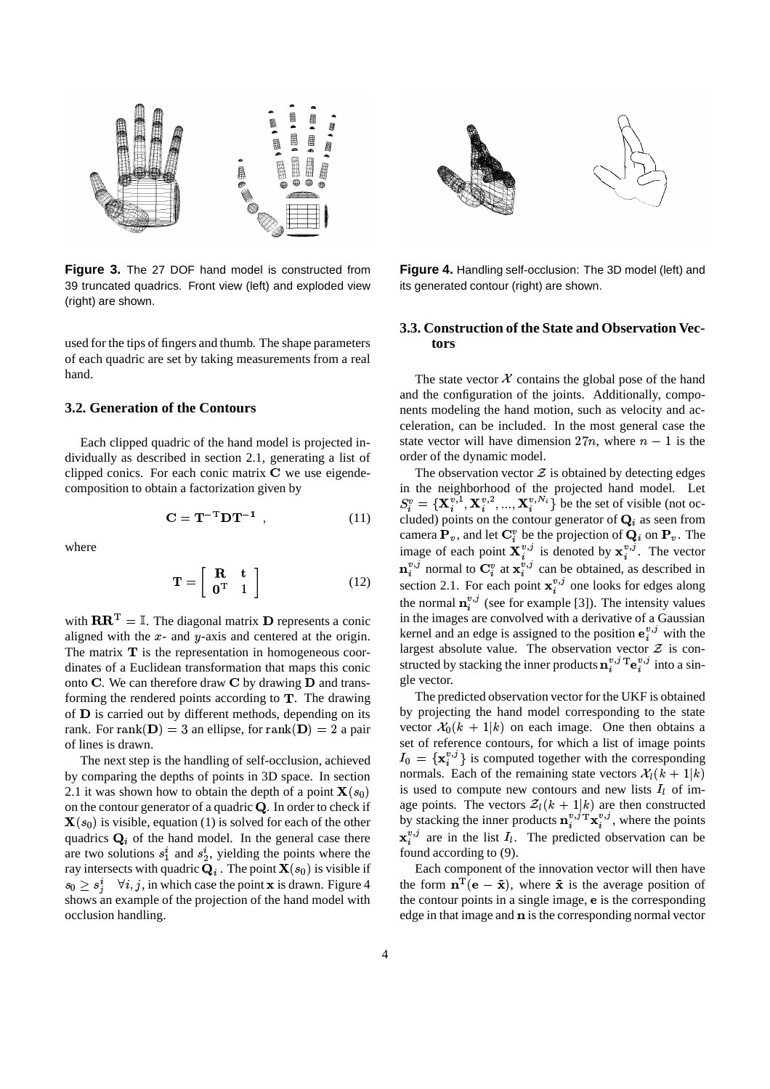

**Figure 3.** The 27 DOF hand model is constructed from 39 truncated quadrics. Front view (left) and exploded view (right) are shown.

used for the tips of fingers and thumb. The shape parameters of each quadric are set by taking measurements from a real hand.

# **3.2. Generation of the Contours**

Each clipped quadric of the hand model is projected individually as described in section 2.1, generating a list of clipped conics. For each conic matrix  $C$  we use eigendecomposition to obtain a factorization given by

$$
\mathbf{C} = \mathbf{T}^{-T} \mathbf{D} \mathbf{T}^{-1} \tag{11}
$$

where

$$
\mathbf{T} = \left[ \begin{array}{cc} \mathbf{R} & \mathbf{t} \\ \mathbf{0}^{\mathrm{T}} & 1 \end{array} \right] \tag{12}
$$

with  $\mathbf{R} \mathbf{R}^{\mathrm{T}} = \mathbb{I}$ . The diagonal matrix **D** represents a conic aligned with the  $x$ - and  $y$ -axis and centered at the origin. The matrix  $\bf{T}$  is the representation in homogeneous coordinates of a Euclidean transformation that maps this conic onto C. We can therefore draw C by drawing  $\bf{D}$  and transforming the rendered points according to  $T$ . The drawing of **D** is carried out by different methods, depending on its rank. For  $\text{rank}(\mathbf{D}) = 3$  an ellipse, for  $\text{rank}(\mathbf{D}) = 2$  a pair of lines is drawn.

The next step is the handling of self-occlusion, achieved by comparing the depths of points in 3D space. In section 2.1 it was shown how to obtain the depth of a point  $\mathbf{X}(s_0)$ on the contour generator of a quadric  $Q$ . In order to check if  **is visible, equation (1) is solved for each of the other** quadrics  $\mathbf{Q}_i$  of the hand model. In the general case there are two solutions  $s_1^i$  and  $s_2^i$ , yielding the points where the ray intersects with quadric  $\mathbf{Q}_i$  . The point  $\mathbf{X}(s_0)$  is visible if  $s_0 \geq s_i^i$   $\forall i, j$ , in which case the point **x** is drawn. Figure 4 shows an example of the projection of the hand model with occlusion handling.



**Figure 4.** Handling self-occlusion: The 3D model (left) and its generated contour (right) are shown.

# **3.3. Construction of the State and Observation Vectors**

The state vector  $X$  contains the global pose of the hand and the configuration of the joints. Additionally, components modeling the hand motion, such as velocity and acceleration, can be included. In the most general case the state vector will have dimension  $27n$ , where  $n-1$  is the order of the dynamic model.

The observation vector  $\mathcal Z$  is obtained by detecting edges in the neighborhood of the projected hand model. Let  $S_i^v = {\mathbf{X}_i^{v,1}, \mathbf{X}_i^{v,2}, ..., \mathbf{X}_i^{v,N_i}}$  be the set of visible (not oc-% ,  ${\bf X}_{i}^{v,z},...,{\bf X}_{i}^{v,\{N_{i}\}}$  be  $_i^{v,2},...,\mathbf{X}_i$  $,...,\mathbf{X}_{i}^{v,N_i}$  be the set of  $\{v_i^{v_i}, v_i\}$  be the set of visible (not occluded) points on the contour generator of  $\mathbf{Q}_i$  as seen from camera  $P_v$ , and let  $C_i^v$  be the projection of  $Q_i$  on  $P_v$ . The image of each point  $\mathbf{X}_{i}^{v,j}$  is denoted by  $\mathbf{x}_{i}^{v,j}$ . The vector for the contract of the contract of the contract of the contract of the contract of the contract of the contract of the contract of the contract of the contract of the contract of the contract of the contract of the contra  $v_i^{\nu,j}$  normal to  $\mathbf{C}_i^v$  at  $\mathbf{x}_i^{v,j}$  can be obtained, as described in section 2.1. For each point  $\mathbf{x}_i^{v,j}$  one looks for edges along the normal  $\mathbf{n}_{i}^{v,j}$  (see for example [3]). The intensity values in the images are convolved with a derivative of a Gaussian kernel and an edge is assigned to the position  $e_i^{v,j}$  with the largest absolute value. The observation vector  $\mathcal Z$  is constructed by stacking the inner products  $\mathbf{n}_i^{v,j}$   $\mathbf{F}$   $\mathbf{e}_i^{v,j}$  into  $\sim$   $\sim$   $\sim$   $\sim$   $\sim$   $\sim$  $v^{v,j}_i$  into a single vector.

The predicted observation vector for the UKF is obtained by projecting the hand model corresponding to the state vector  $\mathcal{X}_0(k+1|k)$  on each image. One then obtains a set of reference contours, for which a list of image points  $I_0 = {\mathbf{x}_i^{v,j}}$  is computed together with the corresponding normals. Each of the remaining state vectors  $\mathcal{X}_l(k+1|k)$ is used to compute new contours and new lists  $I_i$  of image points. The vectors  $\mathcal{Z}_l(k+1|k)$  are then constructed by stacking the inner products  $\mathbf{n}_i^{v,j} \mathbf{T} \mathbf{x}_i^{v,j}$ , where the points  $\mathbf{x}_{i}^{v,j}$  are in the list  $I_{l}$ . The predicted observation can be found according to (9).

Each component of the innovation vector will then have the form  $\mathbf{n}^{\mathrm{T}}(\mathbf{e} - \tilde{\mathbf{x}})$ , where  $\tilde{\mathbf{x}}$  is the average position of the contour points in a single image,  $\bf{e}$  is the corresponding edge in that image and  $\bf{n}$  is the corresponding normal vector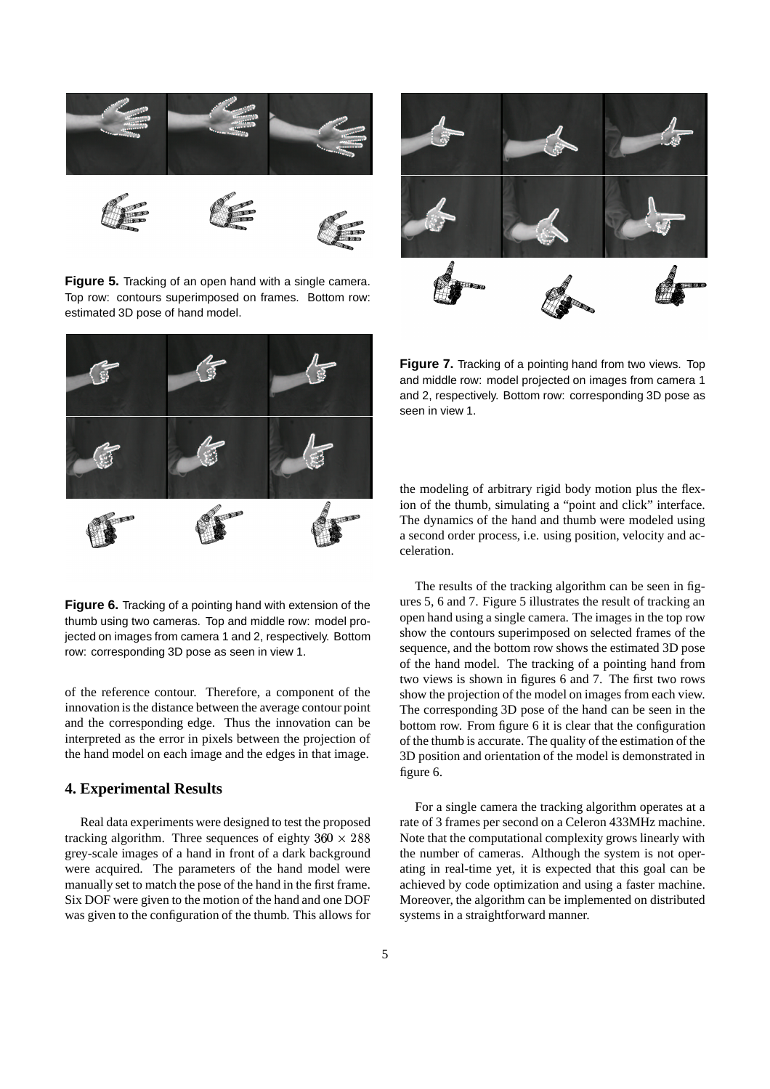

**Figure 5.** Tracking of an open hand with a single camera. Top row: contours superimposed on frames. Bottom row: estimated 3D pose of hand model.



**Figure 6.** Tracking of a pointing hand with extension of the thumb using two cameras. Top and middle row: model projected on images from camera 1 and 2, respectively. Bottom row: corresponding 3D pose as seen in view 1.

of the reference contour. Therefore, a component of the innovation is the distance between the average contour point and the corresponding edge. Thus the innovation can be interpreted as the error in pixels between the projection of the hand model on each image and the edges in that image.

# **4. Experimental Results**

Real data experiments were designed to test the proposed tracking algorithm. Three sequences of eighty  $360 \times 288$  1 grey-scale images of a hand in front of a dark background were acquired. The parameters of the hand model were manually set to match the pose of the hand in the first frame. Six DOF were given to the motion of the hand and one DOF was given to the configuration of the thumb. This allows for



**Figure 7.** Tracking of a pointing hand from two views. Top and middle row: model projected on images from camera 1 and 2, respectively. Bottom row: corresponding 3D pose as seen in view 1.

the modeling of arbitrary rigid body motion plus the flexion of the thumb, simulating a "point and click" interface. The dynamics of the hand and thumb were modeled using a second order process, i.e. using position, velocity and acceleration.

The results of the tracking algorithm can be seen in figures 5, 6 and 7. Figure 5 illustrates the result of tracking an open hand using a single camera. The images in the top row show the contours superimposed on selected frames of the sequence, and the bottom row shows the estimated 3D pose of the hand model. The tracking of a pointing hand from two views is shown in figures 6 and 7. The first two rows show the projection of the model on images from each view. The corresponding 3D pose of the hand can be seen in the bottom row. From figure 6 it is clear that the configuration of the thumb is accurate. The quality of the estimation of the 3D position and orientation of the model is demonstrated in figure 6.

 Note that the computational complexity grows linearly with For a single camera the tracking algorithm operates at a rate of 3 frames per second on a Celeron 433MHz machine. the number of cameras. Although the system is not operating in real-time yet, it is expected that this goal can be achieved by code optimization and using a faster machine. Moreover, the algorithm can be implemented on distributed systems in a straightforward manner.